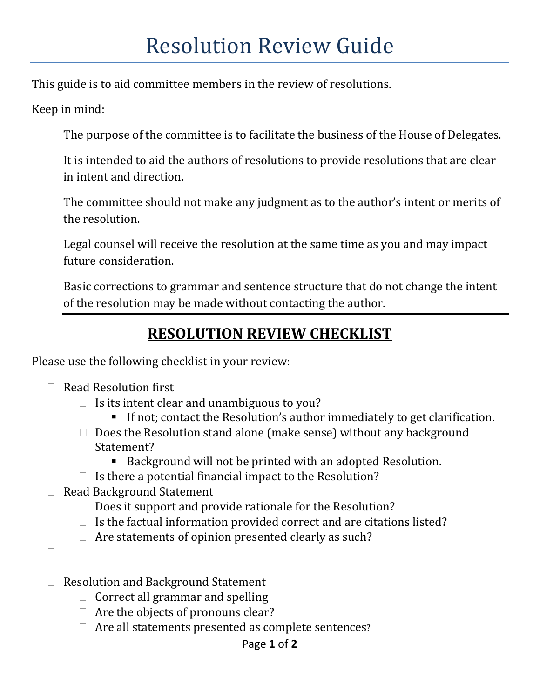This guide is to aid committee members in the review of resolutions.

Keep in mind:

The purpose of the committee is to facilitate the business of the House of Delegates.

It is intended to aid the authors of resolutions to provide resolutions that are clear in intent and direction.

The committee should not make any judgment as to the author's intent or merits of the resolution.

Legal counsel will receive the resolution at the same time as you and may impact future consideration.

Basic corrections to grammar and sentence structure that do not change the intent of the resolution may be made without contacting the author.

# **RESOLUTION REVIEW CHECKLIST**

Please use the following checklist in your review:

- $\Box$  Read Resolution first
	- $\Box$  Is its intent clear and unambiguous to you?
		- If not; contact the Resolution's author immediately to get clarification.
	- $\Box$  Does the Resolution stand alone (make sense) without any background Statement?
		- Background will not be printed with an adopted Resolution.
	- $\Box$  Is there a potential financial impact to the Resolution?
- □ Read Background Statement
	- $\Box$  Does it support and provide rationale for the Resolution?
	- $\Box$  Is the factual information provided correct and are citations listed?
	- $\Box$  Are statements of opinion presented clearly as such?

 $\Box$ 

- $\Box$  Resolution and Background Statement
	- $\Box$  Correct all grammar and spelling
	- $\Box$  Are the objects of pronouns clear?
	- $\Box$  Are all statements presented as complete sentences?